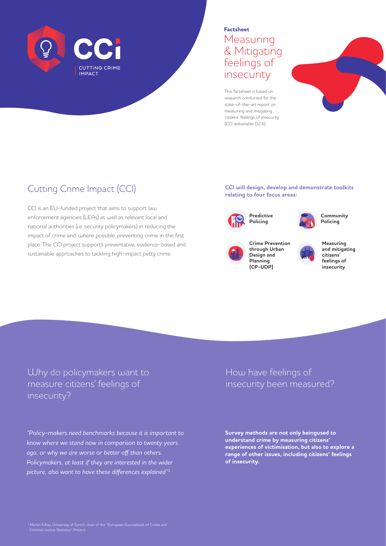

### **Factsheet Measuring** & Mitigating feelings of insecurity

This factsheet is based on research conducted for the state-of-the-art report on measuring and mitigating citizens' feelings of insecurity (CCI deliverable D2.6).



# Cutting Crime Impact (CCI)

CCI is an EU-funded project that aims to support law enforcement agencies (LEAs) as well as relevant local and national authorities (i.e. security policymakers) in reducing the impact of crime and, where possible, preventing crime in the first place. The CCI project supports preventative, evidence-based and sustainable approaches to tackling high-impact petty crime.

**CCI will design, develop and demonstrate toolkits relating to four focus areas:**





**Community Policing**



**Crime Prevention through Urban Design and Planning (CP-UDP)**

**Predictive Policing**



**Measuring and mitigating citizens' feelings of insecurity**

Why do policymakers want to measure citizens' feelings of insecurity?

*"Policy-makers need benchmarks because it is important to know where we stand now in comparison to twenty years ago, or why we are worse or better off than others. Policymakers, at least if they are interested in the wider picture, also want to have these differences explained"1*

### How have feelings of insecurity been measured?

**Survey methods are not only beingused to understand crime by measuring citizens' experiences of victimisation, but also to explore a range of other issues, including citizens' feelings of insecurity.**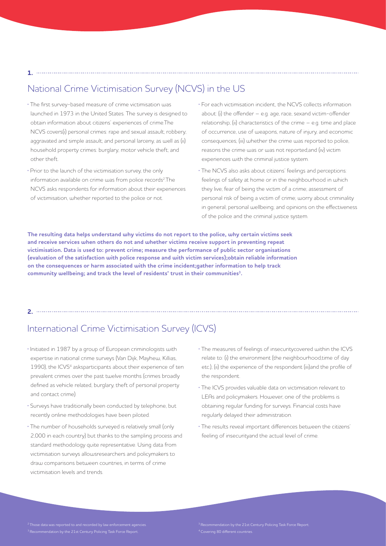#### **1.**

## National Crime Victimisation Survey (NCVS) in the US

- **·** The first survey-based measure of crime victimisation was launched in 1973 in the United States. The survey is designed to obtain information about citizens' experiences of crime.The NCVS covers(i) personal crimes: rape and sexual assault; robbery; aggravated and simple assault; and personal larceny, as well as (ii) household property crimes: burglary; motor vehicle theft; and other theft.
- **·** Prior to the launch of the victimisation survey, the only information available on crime was from police records<sup>2</sup>.The NCVS asks respondents for information about their experiences of victimisation, whether reported to the police or not.
- **·** For each victimisation incident, the NCVS collects information about: (i) the offender – e.g. age, race, sexand victim-offender relationship; (ii) characteristics of the crime – e.g. time and place of occurrence, use of weapons, nature of injury, and economic consequences; (iii) whether the crime was reported to police, reasons the crime was or was not reported;and (iv) victim experiences with the criminal justice system.

**·** The NCVS also asks about citizens' feelings and perceptions: feelings of safety at home or in the neighbourhood in which they live; fear of being the victim of a crime; assessment of personal risk of being a victim of crime; worry about criminality in general; personal wellbeing; and opinions on the effectiveness of the police and the criminal justice system.

**The resulting data helps understand why victims do not report to the police, why certain victims seek and receive services when others do not and whether victims receive support in preventing repeat victimisation. Data is used to: prevent crime; measure the performance of public sector organisations (evaluation of the satisfaction with police response and with victim services);obtain reliable information on the consequences or harm associated with the crime incident;gather information to help track community wellbeing; and track the level of residents' trust in their communities3.** 

#### **2.**

## International Crime Victimisation Survey (ICVS)

- **·** Initiated in 1987 by a group of European criminologists with expertise in national crime surveys (Van Dijk, Mayhew, Killias, 1990), the ICVS<sup>4</sup> asksparticipants about their experience of ten prevalent crimes over the past twelve months (crimes broadly defined as vehicle related, burglary, theft of personal property and contact crime).
- **·** Surveys have traditionally been conducted by telephone, but recently online methodologies have been piloted.
- **·** The number of households surveyed is relatively small (only 2,000 in each country) but thanks to the sampling process and standard methodology quite representative. Using data from victimisation surveys allowsresearchers and policymakers to draw comparisons between countries, in terms of crime victimisation levels and trends.
- **·** The measures of feelings of insecuritycovered within the ICVS relate to: (i) the environment (the neighbourhood,time of day etc.); (ii) the experience of the respondent (iii)and the profile of the respondent.
- **·** The ICVS provides valuable data on victimisation relevant to LEAs and policymakers. However, one of the problems is obtaining regular funding for surveys. Financial costs have regularly delayed their administration.
- **·** The results reveal important differences between the citizens' feeling of insecurityand the actual level of crime.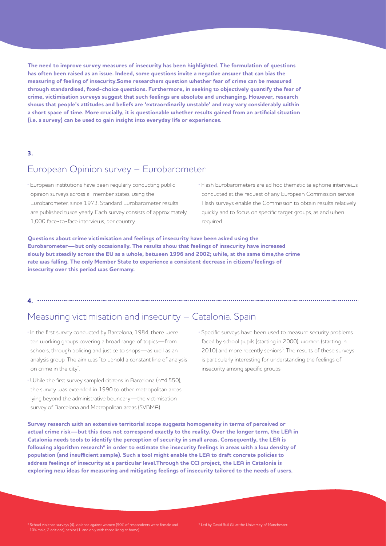**The need to improve survey measures of insecurity has been highlighted. The formulation of questions has often been raised as an issue. Indeed, some questions invite a negative answer that can bias the measuring of feeling of insecurity.Some researchers question whether fear of crime can be measured through standardised, fixed-choice questions. Furthermore, in seeking to objectively quantify the fear of crime, victimisation surveys suggest that such feelings are absolute and unchanging. However, research shows that people's attitudes and beliefs are 'extraordinarily unstable' and may vary considerably within a short space of time. More crucially, it is questionable whether results gained from an artificial situation (i.e. a survey) can be used to gain insight into everyday life or experiences.** 

## European Opinion survey – Eurobarometer

**·** European institutions have been regularly conducting public opinion surveys across all member states, using the Eurobarometer, since 1973. Standard Eurobarometer results are published twice yearly. Each survey consists of approximately 1,000 face-to-face interviews, per country.

**3.**

**·** Flash Eurobarometers are ad hoc thematic telephone interviews conducted at the request of any European Commission service. Flash surveys enable the Commission to obtain results relatively quickly and to focus on specific target groups, as and when required.

**Questions about crime victimisation and feelings of insecurity have been asked using the Eurobarometer—but only occasionally. The results show that feelings of insecurity have increased slowly but steadily across the EU as a whole, between 1996 and 2002; while, at the same time,the crime rate was falling. The only Member State to experience a consistent decrease in citizens'feelings of insecurity over this period was Germany.**

#### Measuring victimisation and insecurity – Catalonia, Spain

**4.**

- **·** In the first survey conducted by Barcelona, 1984, there were ten working groups covering a broad range of topics—from schools, through policing and justice to shops—as well as an analysis group. The aim was "to uphold a constant line of analysis on crime in the city".
- **·** While the first survey sampled citizens in Barcelona (n=4,550), the survey was extended in 1990 to other metropolitan areas lying beyond the administrative boundary—the victimisation survey of Barcelona and Metropolitan areas (SVBMA).
- **·** Specific surveys have been used to measure security problems faced by school pupils (starting in 2000), women (starting in 2010) and more recently seniors<sup>5</sup>. The results of these surveys is particularly interesting for understanding the feelings of insecurity among specific groups.

**Survey research with an extensive territorial scope suggests homogeneity in terms of perceived or actual crime risk—but this does not correspond exactly to the reality. Over the longer term, the LEA in Catalonia needs tools to identify the perception of security in small areas. Consequently, the LEA is**  following algorithm research<sup>6</sup> in order to estimate the insecurity feelings in areas with a low density of **population (and insufficient sample). Such a tool might enable the LEA to draft concrete policies to address feelings of insecurity at a particular level.Through the CCI project, the LEA in Catalonia is exploring new ideas for measuring and mitigating feelings of insecurity tailored to the needs of users.**

 $^5$  School violence surveys (4), violence against women (90% of respondents were female and<br>10% male, 2 editions), senior (1, and only with those living at home).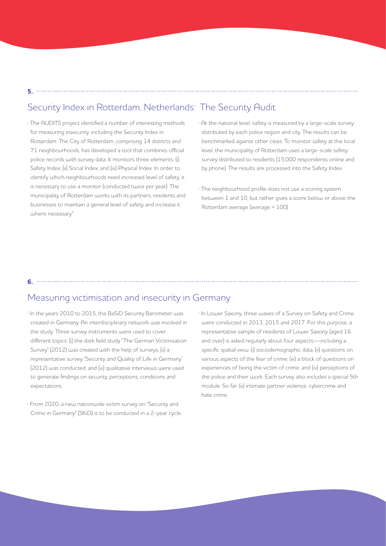#### Security Index in Rotterdam, Netherlands: The Security Audit

**·** The AUDITS project identified a number of interesting methods for measuring insecurity, including the Security Index in Rotterdam. The City of Rotterdam, comprising 14 districts and 71 neighbourhoods, has developed a tool that combines official police records with survey data. It monitors three elements: (i) Safety Index; (ii) Social Index; and (iii) Physical Index. In order to identify which neighbourhoods need increased level of safety, it is necessary to use a monitor (conducted twice per year). The municipality of Rotterdam works with its partners, residents and businesses to maintain a general level of safety and increase it where necessary<sup>7</sup>.

**5.**

**6.**

**·** At the national level, safety is measured by a large-scale survey distributed by each police region and city. The results can be benchmarked against other cities. To monitor safety at the local level, the municipality of Rotterdam uses a large-scale safety survey distributed to residents (15,000 respondents online and by phone). The results are processed into the Safety Index.

**·** The neighbourhood profile does not use a scoring system between 1 and 10, but rather gives a score below or above the Rotterdam average (average = 100).

#### Measuring victimisation and insecurity in Germany

- **·** In the years 2010 to 2015, the BaSiD Security Barometer was created in Germany. An interdisciplinary network was involved in the study. Three survey instruments were used to cover different topics: (i) the dark field study "The German Victimisation Survey" (2012) was created with the help of surveys; (ii) a representative survey "Security and Quality of Life in Germany" (2012) was conducted; and (iii) qualitative interviews were used to generate findings on security, perceptions, conditions and expectations.
- **·** From 2020, a new nationwide victim survey on "Security and Crime in Germany" (SKiD) is to be conducted in a 2-year cycle.

**·** In Lower Saxony, three waves of a Survey on Safety and Crime were conducted in 2013, 2015 and 2017. For this purpose, a representative sample of residents of Lower Saxony (aged 16 and over) is asked regularly about four aspects—including a specific spatial view: (i) sociodemographic data; (ii) questions on various aspects of the fear of crime; (iii) a block of questions on experiences of being the victim of crime; and (iv) perceptions of the police and their work. Each survey also includes a special 5th module. So far: (v) intimate partner violence, cybercrime and hate crime.